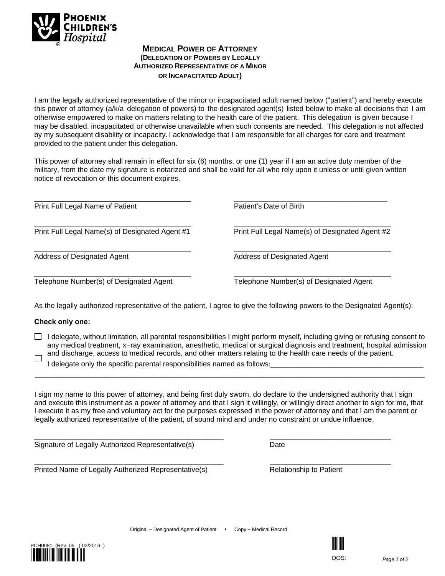

### **MEDICAL POWER OF ATTORNEY (DELEGATION OF POWERS BY LEGALLY AUTHORIZED REPRESENTATIVE OF A MINOR OR INCAPACITATED ADULT)**

I am the legally authorized representative of the minor or incapacitated adult named below ("patient") and hereby execute this power of attorney (a/k/a delegation of powers) to the designated agent(s) listed below to make all decisions that I am otherwise empowered to make on matters relating to the health care of the patient. This delegation is given because I may be disabled, incapacitated or otherwise unavailable when such consents are needed. This delegation is not affected by my subsequent disability or incapacity. I acknowledge that I am responsible for all charges for care and treatment provided to the patient under this delegation.

This power of attorney shall remain in effect for six (6) months, or one (1) year if I am an active duty member of the military, from the date my signature is notarized and shall be valid for all who rely upon it unless or until given written notice of revocation or this document expires.

Print Full Legal Name of Patient

Print Full Legal Name(s) of Designated Agent #1

Address of Designated Agent

Telephone Number(s) of Designated Agent

\_\_\_\_\_\_\_\_\_\_\_\_\_\_\_\_\_\_\_\_\_\_\_\_\_\_\_\_\_\_\_\_\_\_\_\_\_\_ Patient's Date of Birth

Print Full Legal Name(s) of Designated Agent #2

Address of Designated Agent

Telephone Number(s) of Designated Agent

As the legally authorized representative of the patient, I agree to give the following powers to the Designated Agent(s):

#### **Check only one:**

 $\Box$  I delegate, without limitation, all parental responsibilities I might perform myself, including giving or refusing consent to any medical treatment, x−ray examination, anesthetic, medical or surgical diagnosis and treatment, hospital admission and discharge, access to medical records, and other matters relating to the health care needs of the patient.  $\Box$ 

\_\_\_\_\_\_\_\_\_\_\_\_\_\_\_\_\_\_\_\_\_\_\_\_\_\_\_\_\_\_\_\_\_\_\_\_\_\_\_\_\_\_\_\_\_\_\_\_\_\_\_\_\_\_\_\_\_\_\_\_\_\_\_\_\_\_\_\_\_\_\_\_\_\_\_\_\_\_\_\_\_\_\_\_\_\_\_\_\_\_\_\_\_\_\_\_\_\_\_\_\_\_\_\_\_\_\_

I delegate only the specific parental responsibilities named as follows:

I sign my name to this power of attorney, and being first duly sworn, do declare to the undersigned authority that I sign and execute this instrument as a power of attorney and that I sign it willingly, or willingly direct another to sign for me, that I execute it as my free and voluntary act for the purposes expressed in the power of attorney and that I am the parent or legally authorized representative of the patient, of sound mind and under no constraint or undue influence.

Signature of Legally Authorized Representative(s) Date

Printed Name of Legally Authorized Representative(s) Relationship to Patient

\_\_\_\_\_\_\_\_\_\_\_\_\_\_\_\_\_\_\_\_\_\_\_\_\_\_\_\_\_\_\_\_\_\_\_\_\_\_\_\_\_\_\_\_\_\_\_ \_\_\_\_\_\_\_\_\_\_\_\_\_\_\_\_\_\_\_\_\_\_\_\_\_\_\_\_\_\_



\_\_\_\_\_\_\_\_\_\_\_\_\_\_\_\_\_\_\_\_\_\_\_\_\_\_\_\_\_\_\_\_\_\_\_\_\_\_\_\_\_\_\_\_\_\_\_ \_\_\_\_\_\_\_\_\_\_\_\_\_\_\_\_\_\_\_\_\_\_\_\_\_\_\_\_\_\_



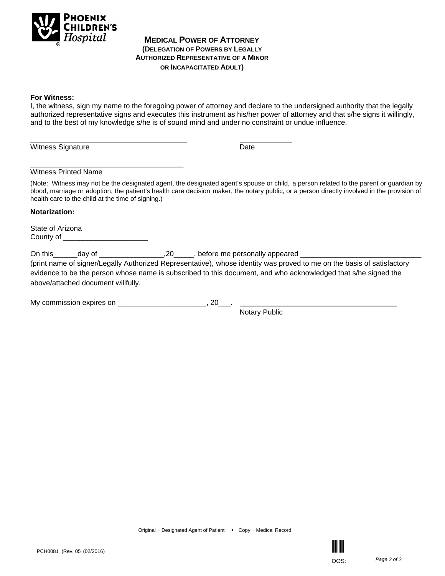

#### **MEDICAL POWER OF ATTORNEY (DELEGATION OF POWERS BY LEGALLY AUTHORIZED REPRESENTATIVE OF A MINOR OR INCAPACITATED ADULT)**

#### **For Witness:**

I, the witness, sign my name to the foregoing power of attorney and declare to the undersigned authority that the legally authorized representative signs and executes this instrument as his/her power of attorney and that s/he signs it willingly, and to the best of my knowledge s/he is of sound mind and under no constraint or undue influence.

Witness Signature Date **Date** 

#### Witness Printed Name

\_\_\_\_\_\_\_\_\_\_\_\_\_\_\_\_\_\_\_\_\_\_\_\_\_\_\_\_\_\_\_\_\_\_\_\_\_\_

(Note: Witness may not be the designated agent, the designated agent's spouse or child, a person related to the parent or guardian by blood, marriage or adoption, the patient's health care decision maker, the notary public, or a person directly involved in the provision of health care to the child at the time of signing.)

#### **Notarization:**

State of Arizona County of

On this\_\_\_\_\_\_day of \_\_\_\_\_\_\_\_\_\_\_\_\_\_\_\_\_\_\_\_,20\_\_\_\_\_\_, before me personally appeared \_\_

(print name of signer/Legally Authorized Representative), whose identity was proved to me on the basis of satisfactory evidence to be the person whose name is subscribed to this document, and who acknowledged that s/he signed the above/attached document willfully.

My commission expires on \_\_\_\_\_\_\_\_\_\_\_\_\_\_\_\_\_\_\_\_\_\_\_\_, 20\_\_

Notary Public

Original − Designated Agent of Patient • Copy − Medical Record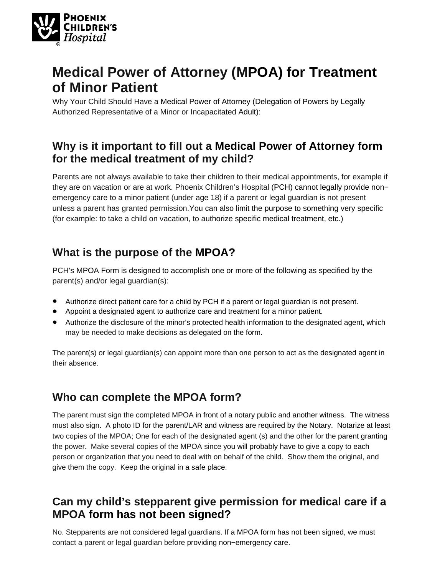

# **Medical Power of Attorney (MPOA) for Treatment of Minor Patient**

Why Your Child Should Have a Medical Power of Attorney (Delegation of Powers by Legally Authorized Representative of a Minor or Incapacitated Adult):

### **Why is it important to fill out a Medical Power of Attorney form for the medical treatment of my child?**

Parents are not always available to take their children to their medical appointments, for example if they are on vacation or are at work. Phoenix Children's Hospital (PCH) cannot legally provide non− emergency care to a minor patient (under age 18) if a parent or legal guardian is not present unless a parent has granted permission.You can also limit the purpose to something very specific (for example: to take a child on vacation, to authorize specific medical treatment, etc.)

# **What is the purpose of the MPOA?**

PCH's MPOA Form is designed to accomplish one or more of the following as specified by the parent(s) and/or legal guardian(s):

- Authorize direct patient care for a child by PCH if a parent or legal guardian is not present.
- Appoint a designated agent to authorize care and treatment for a minor patient.
- Authorize the disclosure of the minor's protected health information to the designated agent, which may be needed to make decisions as delegated on the form.

The parent(s) or legal guardian(s) can appoint more than one person to act as the designated agent in their absence.

# **Who can complete the MPOA form?**

The parent must sign the completed MPOA in front of a notary public and another witness. The witness must also sign. A photo ID for the parent/LAR and witness are required by the Notary. Notarize at least two copies of the MPOA; One for each of the designated agent (s) and the other for the parent granting the power. Make several copies of the MPOA since you will probably have to give a copy to each person or organization that you need to deal with on behalf of the child. Show them the original, and give them the copy. Keep the original in a safe place.

# **Can my child's stepparent give permission for medical care if a MPOA form has not been signed?**

No. Stepparents are not considered legal guardians. If a MPOA form has not been signed, we must contact a parent or legal guardian before providing non−emergency care.